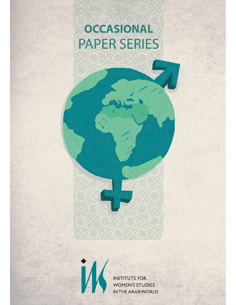# **OCCASIONAL PAPER SERIES**



**INSTITUTE FOR WOMEN'S STUDIES** IN THE ARAB WORLD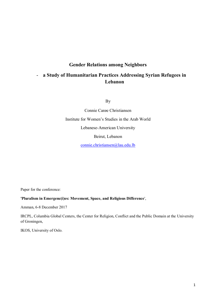# **Gender Relations among Neighbors**

# - **a Study of Humanitarian Practices Addressing Syrian Refugees in Lebanon**

By

Connie Carøe Christiansen Institute for Women's Studies in the Arab World Lebanese-American University Beirut, Lebanon [connie.christiansen@lau.edu.lb](mailto:connie.christiansen@lau.edu.lb)

Paper for the conference:

#### **'Pluralism in Emergenc(i)es: Movement, Space, and Religious Difference**',

Amman, 6-8 December 2017

IRCPL, Columbia Global Centers, the Center for Religion, Conflict and the Public Domain at the University of Groningen,

IKOS, University of Oslo.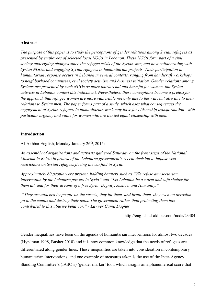#### **Abstract**

*The purpose of this paper is to study the perceptions of gender relations among Syrian refugees as presented by employees of selected local NGOs in Lebanon. These NGOs form part of a civil society undergoing changes since the refugee crisis of the Syrian war, and now collaborating with Syrian NGOs, and engaging Syrian refugees in humanitarian projects. Their participation in humanitarian response occurs in Lebanon in several contexts, ranging from handicraft workshops to neighborhood committees, civil society activism and business initiation. Gender relations among Syrians are presented by such NGOs as more patriarchal and harmful for women, but Syrian activists in Lebanon contest this indictment. Nevertheless, these conceptions become a pretext for the approach that refugee women are more vulnerable not only due to the war, but also due to their relations to Syrian men. The paper forms part of a study, which asks what consequences the engagement of Syrian refugees in humanitarian work may have for citizenship transformation– with particular urgency and value for women who are denied equal citizenship with men.*

#### **Introduction**

Al-Akhbar English, Monday January 26<sup>th</sup>, 2015:

*An assembly of organizations and activists gathered Saturday on the front steps of the National Museum in Beirut in protest of the Lebanese government's recent decision to impose visa restrictions on Syrian refugees fleeing the conflict in Syria***.**

*Approximately 80 people were present, holding banners such as "We refuse any sectarian intervention by the Lebanese powers in Syria" and "Let Lebanon be a warm and safe shelter for them all, and for their dreams of a free Syria: Dignity, Justice, and Humanity."*

*"They are attacked by people on the streets, they hit them, and insult them, they even on occasion go to the camps and destroy their tents. The government rather than protecting them has contributed to this abusive behavior," - Lawyer Camil Dagher*

http://english.al-akhbar.com/node/23404

Gender inequalities have been on the agenda of humanitarian interventions for almost two decades (Hyndman 1998, Busher 2010) and it is now common knowledge that the needs of refugees are differentiated along gender lines. These inequalities are taken into consideration in contemporary humanitarian interventions, and one example of measures taken is the use of the Inter-Agency Standing Committee's (IASC's) 'gender marker' tool, which assigns an alphanumerical score that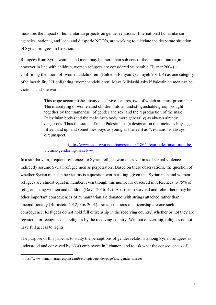measures the impact of humanitarian projects on gender relations. 1 International humanitarian agencies, national, and local and diasporic NGO's, are working to alleviate the desperate situation of Syrian refugees in Lebanon.

Refugees from Syria, women and men, may be more than subjects of the humanitarian regime; however in line with children, women refugees are considered vulnerable (Turner 2004) – confirming the idiom of 'womenandchildren' (Enloe in Fidiyan-Qasmiyeh 2014: 4) as one category of vulnerability.<sup>2</sup> Highlighting 'womenandchildren' Maya Mikdashi asks if Palestinian men can be victims, and she warns:

> This trope accomplishes many discursive features, two of which are most prominent: The massifying of women and children into an undistinguishable group brought together by the "sameness" of gender and sex, and the reproduction of the male Palestinian body (and the male Arab body more generally) as always already dangerous. Thus the status of male Palestinians (a designation that includes boys aged fifteen and up, and sometimes boys as young as thirteen) as "civilians" is always circumspect.

# [\(http://www.jadaliyya.com/pages/index/18644/can-palestinian-men-be](http://www.jadaliyya.com/pages/index/18644/can-palestinian-men-be-victims-gendering-israels-w)[victims-gendering-israels-w\)](http://www.jadaliyya.com/pages/index/18644/can-palestinian-men-be-victims-gendering-israels-w).

In a similar vein, frequent references to Syrian refugee women as victims of sexual violence indirectly assume Syrian refugee men as perpetrators. Based on these observations, the question of whether Syrian men can be victims is a question worth asking, given that Syrian men and women refugees are almost equal in number, even though this number is obscured in references to 75% of refugees being women and children (Davis 2016: 49). Apart from survival and relief there may be other important consequences of humanitarian aid donated with strings attached rather than unconditionally (Bornstein 2012, Fox 2001); transformations in citizenship are one such consequence. Refugees do not hold full citizenship in the receiving country, whether or not they are registered or recognized as refugees by the receiving country. Without citizenship, refugees do not have full access to rights.

The purpose of this paper is to study the perceptions of gender relations among Syrian refugees as understood and conveyed by NGO employees in Lebanon, and to ask what the consequences of

<sup>1</sup> https://www.humanitarianresponse.info/en/topics/gender/page/iasc-gender-marker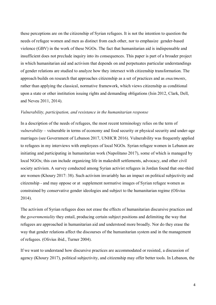these perceptions are on the citizenship of Syrian refugees. It is not the intention to question the needs of refugee women and men as distinct from each other, nor to emphasize gender-based violence (GBV) in the work of these NGOs. The fact that humanitarian aid is indispensable and insufficient does not preclude inquiry into its consequences. This paper is part of a broader project in which humanitarian aid and activism that depends on and perpetuates particular understandings of gender relations are studied to analyze how they intersect with citizenship transformation. The approach builds on research that approaches citizenship as a set of practices and as *enactments*, rather than applying the classical, normative framework, which views citizenship as conditional upon a state or other institution issuing rights and demanding obligations (Isin 2012, Clark, Dell, and Neveu 2011, 2014).

#### *Vulnerability, participation, and resistance in the humanitarian response*

In a description of the needs of refugees, the most recent terminology relies on the term of *vulnerability* – vulnerable in terms of economy and food security or physical security and under-age marriages (see Government of Lebanon 2017, UNHCR 2016). Vulnerability was frequently applied to refugees in my interviews with employees of local NGOs. Syrian refugee women in Lebanon are initiating and participating in humanitarian work (Napolitano 2017), some of which is managed by local NGOs; this can include organizing life in makeshift settlements, advocacy, and other civil society activism. A survey conducted among Syrian activist refugees in Jordan found that one-third are women (Khoury 2017: 38). Such activism invariably has an impact on political subjectivity and citizenship - and may oppose or at supplement normative images of Syrian refugee women as constrained by conservative gender ideologies and subject to the humanitarian regime (Olivius 2014).

The activism of Syrian refugees does not erase the effects of humanitarian discursive practices and the *governmentality* they entail, producing certain subject positions and delimiting the way that refugees are approached in humanitarian aid and understood more broadly. Nor do they erase the way that gender relations affect the discourses of the humanitarian system and in the management of refugees. (Olivius ibid., Turner 2004).

If we want to understand how discursive practices are accommodated or resisted, a discussion of agency (Khoury 2017), political subjectivity, and citizenship may offer better tools. In Lebanon, the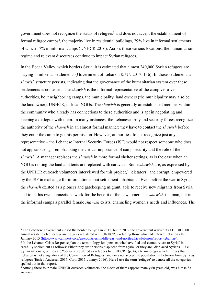government does not recognize the status of refugees 3 and does not accept the establishment of formal refugee camps<sup>4</sup>, the majority live in residential buildings, 29% live in informal settlements of which 17% in informal camps (UNHCR 2016). Across these various locations, the humanitarian regime and relevant discourses continue to impact Syrian refugees.

In the Beqaa Valley, which borders Syria, it is estimated that almost 240,000 Syrian refugees are staying in informal settlements (Government of Lebanon & UN 2017: 136). In those settlements a *shawish* structure persists, indicating that the governance of the humanitarian system over these settlements is contested. The *shawish* is the informal representative of the camp vis-á-vis authorities, be it neighboring camps, the municipality, land owners (the municipality may also be the landowner), UNHCR, or local NGOs. The *shawish* is generally an established member within the community who already has connections to these authorities and is apt in negotiating and keeping a dialogue with them. In many instances, the Lebanese army and security forces recognize the authority of the *shawish* in an almost formal manner: they have to contact the *shawish* before they enter the camp to get his permission. However, authorities do not recognize just any representative – the Lebanese Internal Security Forces (ISF) would not respect someone who does not appear strong – emphasizing the critical importance of camp security and the role of the *shawish*. A manager replaces the *shawish* in more formal shelter settings, as is the case when an NGO is renting the land and tents are replaced with caravans. Some *shawish* are, as expressed by the UNHCR outreach volunteers interviewed for this project, 5 "dictators" and corrupt, empowered by the ISF in exchange for information about settlement inhabitants. Even before the war in Syria the *shawish* existed as a pioneer and gatekeeping migrant, able to receive new migrants from Syria, and to let his own connections work for the benefit of the newcomer. The *shawish* is a man, but in the informal camps a parallel female *shawish* exists, channeling women's needs and influences. The

<sup>&</sup>lt;sup>3</sup> The Lebanese government closed the border to Syria in 2015, but in 2017 the government waived its LBP 300,000 annual residency fee for Syrian refugees registered with UNHCR, excluding those who had entered Lebanon after January 2015 [\(https://www.amnesty.org/en/countries/middle-east-and-north-africa/lebanon/report-lebanon/\)](https://www.amnesty.org/en/countries/middle-east-and-north-africa/lebanon/report-lebanon/).

<sup>&</sup>lt;sup>4</sup> In the Lebanon Crisis Response plan the terminology for "persons who have fled and cannot return to Syria" is carefully spelled out as follows: Either they are "persons displaced from Syria" or they are "displaced Syrians" – i.e. Syrian nationals, or they are "persons registered as refugees by UNHCR" (p. 4); a terminology which mirrors that Lebanon is not a signatory of the Convention of Refugees, and does not accept the population in Lebanon from Syria as refugees (Erslev-Andersen 2016, Carpi 2015, Janmyr 2016). Here I use the term 'refugee' to denote all the categories spelled out in that report.

<sup>&</sup>lt;sup>5</sup> Among these four male UNHCR outreach volunteers, the eldest of them (approximately 60 years old) was himself a *shawish*.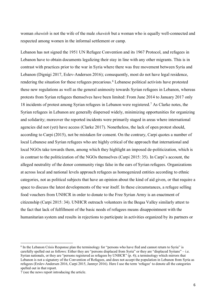woman *shawish* is not the wife of the male *shawish* but a woman who is equally well-connected and respected among women in the informal settlement or camp.

Lebanon has not signed the 1951 UN Refugee Convention and its 1967 Protocol, and refugees in Lebanon have to obtain documents legalizing their stay in line with any other migrants. This is in contrast with practices prior to the war in Syria where there was free movement between Syria and Lebanon (Dignigi 2017, Eslev-Andersen 2016); consequently, most do not have legal residence, rendering the situation for these refugees precarious.<sup>6</sup> Lebanese political activists have protested these new regulations as well as the general animosity towards Syrian refugees in Lebanon, whereas protests from Syrian refugees themselves have been limited: From June 2014 to January 2017 only 18 incidents of protest among Syrian refugees in Lebanon were registered. <sup>7</sup> As Clarke notes, the Syrian refugees in Lebanon are generally dispersed widely, minimizing opportunities for organizing and solidarity; moreover the reported incidents were primarily staged in areas where international agencies did not (yet) have access (Clarke 2017). Nonetheless, the lack of open protest should, according to Carpi (2015), not be mistaken for consent. On the contrary, Carpi quotes a number of local Lebanese and Syrian refugees who are highly critical of the approach that international and local NGOs take towards them, among which they highlight an imposed de-politicization, which is in contrast to the politicization of the NGOs themselves (Carpi 2015: 35). In Carpi's account, the alleged neutrality of the donor community rings false in the ears of Syrian refugees. Organizations at across local and national levels approach refugees as homogenized entities according to ethnic categories, not as political subjects that have an opinion about the kind of aid given, or that require a space to discuss the latest developments of the war itself. In these circumstances, a refugee selling food vouchers from UNHCR in order to donate to the Free Syrian Army is an enactment of citizenship (Carpi 2015: 34). UNHCR outreach volunteers in the Beqaa Valley similarly attest to the fact that lack of fulfillment of the basic needs of refugees means disappointment with the humanitarian system and results in rejections to participate in activities organized by its partners or

<sup>&</sup>lt;sup>6</sup> In the Lebanon Crisis Response plan the terminology for "persons who have fled and cannot return to Syria" is carefully spelled out as follows: Either they are "persons displaced from Syria" or they are "displaced Syrians" – i.e. Syrian nationals, or they are "persons registered as refugees by UNHCR" (p. 4); a terminology which mirrors that Lebanon is not a signatory of the Convention of Refugees, and does not accept the population in Lebanon from Syria as refugees (Erslev-Andersen 2016, Carpi 2015, Janmyr 2016). Here I use the term 'refugee' to denote all the categories spelled out in that report.

<sup>7</sup> (see the news report introducing the article.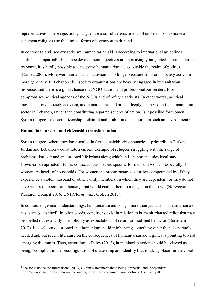representatives. These rejections, I argue, are also subtle enactments of citizenship – to make a statement refugees use the limited forms of agency at their hand.

In contrast to civil society activism, humanitarian aid is according to international guidelines apolitical - impartial<sup>8</sup> - but since development objectives are increasingly integrated in humanitarian response, it is hardly possible to categorize humanitarian aid as outside the realm of politics (Barnett 2005). Moreover, humanitarian activism is no longer separate from civil society activism more generally. In Lebanon civil society organizations are heavily engaged in humanitarian response, and there is a good chance that NGO-ization and professionalization derails or compromises political agendas of the NGOs and of refugee activists. In other words, political movement, civil society activism, and humanitarian aid are all deeply entangled in the humanitarian sector in Lebanon, rather than constituting separate spheres of action. Is it possible for women Syrian refugees to enact citizenship – claim it and grab it in one action – in such an environment?

#### **Humanitarian work and citizenship transformation**

 $\overline{a}$ 

Syrian refugees where they have settled in Syria's neighboring countries – primarily in Turkey, Jordan and Lebanon – constitute a current example of refugees struggling with the range of problems that war and an uprooted life brings along which in Lebanon includes legal stay. However, an uprooted life has consequences that are specific for men and women, especially if women are heads of households. For women the precariousness is further compounded by if they experience a violent husband or other family members on which they are dependent, or they do not have access to income and housing that would enable them to manage on their own (Norwegian Research Council 2016; UNHCR, *no year*; Goleen 2015).

In contrast to general understandings, humanitarian aid brings more than just aid – humanitarian aid has 'strings attached'. In other words, conditions exist in relation to humanitarian aid relief that may be spelled out explicitly or implicitly as expectations of return or modified behavior (Bornstein 2012). It is seldom questioned that humanitarian aid might bring something other than desperately needed aid, but recent literature on the consequences of humanitarian aid regimes is pointing toward emerging dilemmas. Thus, according to Daley (2013), humanitarian action should be viewed as being, "complicit in the reconfiguration of citizenship and identity that is taking place" in the Great

<sup>8</sup> See for instance the International NGO, Oxfam's statement about being 'impartial and independent', https://www.oxfam.org/sites/www.oxfam.org/files/hpn-role-humanitarian-action-010613-en.pdf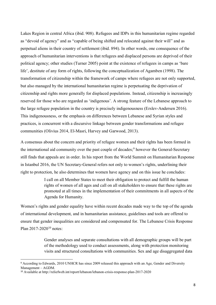Lakes Region in central Africa (ibid. 908). Refugees and IDPs in this humanitarian regime regarded as "devoid of agency" and as "capable of being shifted and relocated against their will" and as perpetual aliens in their country of settlement (ibid. 894). In other words, one consequence of the approach of humanitarian interventions is that refugees and displaced persons are deprived of their political agency; other studies (Turner 2005) point at the existence of refugees in camps as 'bare life', destitute of any form of rights, following the conceptualization of Agamben (1998). The transformation of citizenship within the framework of camps where refugees are not only supported, but also managed by the international humanitarian regime is perpetuating the deprivation of citizenship and rights more generally for displaced populations. Instead, citizenship is increasingly reserved for those who are regarded as 'indigenous'. A strong feature of the Lebanese approach to the large refugee population in the country is precisely indigenousness (Erslev-Andersen 2016). This indigenousness, or the emphasis on differences between Lebanese and Syrian styles and practices, is concurrent with a discursive linkage between gender transformations and refugee communities (Olivius 2014, El-Masri, Harvey and Garwood, 2013).

A consensus about the concern and priority of refugee women and their rights has been formed in the international aid community over the past couple of decades;<sup>9</sup> however the General-Secretary still finds that appeals are in order. In his report from the World Summit on Humanitarian Response in Istanbul 2016, the UN Secretary-General refers not only to women's rights, underlining their right to protection, he also determines that women have agency and on this issue he concludes:

> I call on all Member States to meet their obligation to protect and fulfill the human rights of women of all ages and call on all stakeholders to ensure that these rights are promoted at all times in the implementation of their commitments in all aspects of the Agenda for Humanity.

Women's rights and gender equality have within recent decades made way to the top of the agenda of international development, and in humanitarian assistance, guidelines and tools are offered to ensure that gender inequalities are considered and compensated for. The Lebanese Crisis Response Plan 2017-2020<sup>10</sup> notes:

> Gender analyses and separate consultations with all demographic groups will be part of the methodology used to conduct assessments, along with protection monitoring visits and structured consultations with communities. Sex and age disaggregated data

<sup>9</sup> According to Edwards, 2010 UNHCR has since 2009 released this approach with an Age, Gender and Diversity Management – AGDM.

<sup>10</sup> Available at http://reliefweb.int/report/lebanon/lebanon-crisis-response-plan-2017-2020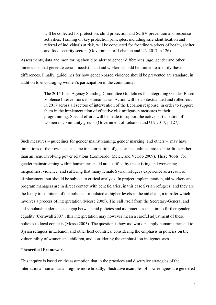will be collected for protection, child protection and SGBV prevention and response activities. Training on key protection principles, including safe identification and referral of individuals at risk, will be conducted for frontline workers of health, shelter and food security sectors (Government of Lebanon and UN 2017, p.126).

Assessments, data and monitoring should be alert to gender differences (age, gender and other dimensions that generate certain needs) – and aid workers should be trained to identify these differences. Finally, guidelines for how gender-based violence should be prevented are standard, in addition to encouraging women's participation in the community:

> The 2015 Inter-Agency Standing Committee Guidelines for Integrating Gender-Based Violence Interventions in Humanitarian Action will be contextualized and rolled-out in 2017 across all sectors of intervention of the Lebanon response, in order to support them in the implementation of effective risk mitigation measures in their programming. Special efforts will be made to support the active participation of women in community groups (Government of Lebanon and UN 2017, p.127).

Such measures – guidelines for gender mainstreaming, gender marking, and others – may have limitations of their own, such as the transformation of gender inequalities into technicalities rather than an issue involving power relations (Lombardo, Meier, and Verloo 2009). These 'tools' for gender mainstreaming within humanitarian aid are justified by the existing and worsening inequalities, violence, and suffering that many female Syrian refugees experience as a result of displacement, but should be subject to critical analysis. In project implementation, aid workers and program managers are in direct contact with beneficiaries, in this case Syrian refugees, and they are the likely transmitters of the policies formulated at higher levels in the aid chain, a transfer which involves a process of interpretation (Mosse 2005). The call itself from the Secretary-General and aid scholarship alerts us to a gap between aid policies and aid practices that aim to further gender equality (Cornwall 2007); this interpretation may however mean a careful adjustment of these policies to local contexts (Mosse 2005). The question is how aid workers apply humanitarian aid to Syrian refugees in Lebanon and other host countries, considering the emphasis in policies on the vulnerability of women and children, and considering the emphasis on indigenousness.

# **Theoretical Framework**

This inquiry is based on the assumption that in the practices and discursive strategies of the international humanitarian regime more broadly, illustrative examples of how refugees are gendered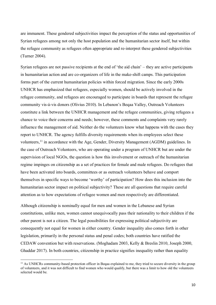are immanent. These gendered subjectivities impact the perception of the status and opportunities of Syrian refugees among not only the host population and the humanitarian sector itself, but within the refugee community as refugees often appropriate and re-interpret these gendered subjectivities (Turner 2004).

Syrian refugees are not passive recipients at the end of 'the aid chain' – they are active participants in humanitarian action and are co-organizers of life in the make-shift camps. This participation forms part of the current humanitarian policies within forced migration. Since the early 2000s UNHCR has emphasized that refugees, especially women, should be actively involved in the refugee community, and refugees are encouraged to participate in boards that represent the refugee community vis-á-vis donors (Olivius 2010). In Lebanon's Beqaa Valley, Outreach Volunteers constitute a link between the UNHCR management and the refugee communities, giving refugees a chance to voice their concerns and needs; however, these comments and complaints very rarely influence the management of aid. Neither do the volunteers know what happens with the cases they report to UNHCR. The agency fulfills diversity requirements when its employees select these volunteers,<sup>11</sup> in accordance with the Age, Gender, Diversity Management (AGDM) guidelines. In the case of Outreach Volunteers, who are operating under a program of UNHCR but are under the supervision of local NGOs, the question is how this involvement or outreach of the humanitarian regime impinges on citizenship as a set of practices for female and male refugees. Do refugees that have been activated into boards, committees or as outreach volunteers behave and comport themselves in specific ways to become 'worthy' of participation? How does this inclusion into the humanitarian sector impact on political subjectivity? These are all questions that require careful attention as to how expectations of refugee women and men respectively are differentiated.

Although citizenship is nominally equal for men and women in the Lebanese and Syrian constitutions, unlike men, women cannot unequivocally pass their nationality to their children if the other parent is not a citizen. The legal possibilities for expressing political subjectivity are consequently not equal for women in either country. Gender inequality also comes forth in other legislation, primarily in the personal status and penal codes; both countries have ratified the CEDAW convention but with reservations. (Moghadam 2003, Kelly & Breslin 2010, Joseph 2000, Ghaddar 2017). In both countries, citizenship in practice signifies inequality rather than equality

l

<sup>&</sup>lt;sup>11</sup> As UNHCRs community-based protection officer in Begaa explained to me, they tried to secure diversity in the group of volunteers, and it was not difficult to find women who would qualify, but there was a limit to how old the volunteers selected would be.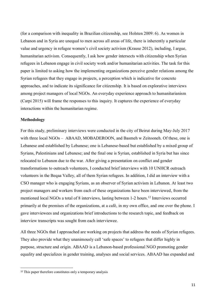(for a comparison with inequality in Brazilian citizenship, see Holsten 2009: 6). As women in Lebanon and in Syria are unequal to men across all areas of life, there is inherently a particular value and urgency in refugee women's civil society activism (Krause 2012), including, I argue, humanitarian activism. Consequently, I ask how gender intersects with citizenship when Syrian refugees in Lebanon engage in civil society work and/or humanitarian activities. The task for this paper is limited to asking how the implementing organizations perceive gender relations among the Syrian refugees that they engage in projects, a perception which is indicative for concrete approaches, and to indicate its significance for citizenship. It is based on explorative interviews among project managers of local NGOs. An everyday experience approach to humanitarianism (Carpi 2015) will frame the responses to this inquiry. It captures the experience of everyday interactions within the humanitarian regime.

# **Methodology**

l

For this study, preliminary interviews were conducted in the city of Beirut during May-July 2017 with three local NGOs – ABAAD, MOBADEROON, and Basmeh w Zeitooneh. Of these, one is Lebanese and established by Lebanese; one is Lebanese-based but established by a mixed group of Syrians, Palestinians and Lebanese; and the final one is Syrian, established in Syria but has since relocated to Lebanon due to the war. After giving a presentation on conflict and gender transformations to outreach volunteers, I conducted brief interviews with 10 UNHCR outreach volunteers in the Beqaa Valley, all of them Syrian refugees. In addition, I did an interview with a CSO manager who is engaging Syrians, as an observer of Syrian activism in Lebanon. At least two project managers and workers from each of these organizations have been interviewed, from the mentioned local NGOs a total of 8 interviews, lasting between 1-2 hours. <sup>12</sup> Interviews occurred primarily at the premises of the organizations, at a café, in my own office, and one over the phone. I gave interviewees and organizations brief introductions to the research topic, and feedback on interview transcripts was sought from each interviewee.

All three NGOs that I approached are working on projects that address the needs of Syrian refugees. They also provide what they unanimously call 'safe spaces' to refugees that differ highly in purpose, structure and origin. ABAAD is a Lebanon-based professional NGO promoting gender equality and specializes in gender training, analyses and social services. ABAAD has expanded and

<sup>&</sup>lt;sup>12</sup> This paper therefore constitutes only a temporary analysis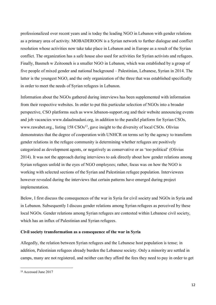professionalized over recent years and is today the leading NGO in Lebanon with gender relations as a primary area of activity. MOBADEROON is a Syrian network to further dialogue and conflict resolution whose activities now take take place in Lebanon and in Europe as a result of the Syrian conflict. The organization has a safe house also used for activities for Syrian activists and refugees. Finally, Basmeh w Zeitooneh is a smaller NGO in Lebanon, which was established by a group of five people of mixed gender and national background – Palestinian, Lebanese, Syrian in 2014. The latter is the youngest NGO, and the only organization of the three that was established specifically in order to meet the needs of Syrian refugees in Lebanon.

Information about the NGOs gathered during interviews has been supplemented with information from their respective websites. In order to put this particular selection of NGOs into a broader perspective, CSO platforms such as www.lebanon-support.org and their website announcing events and job vacancies www.dalaalmadani.org, in addition to the parallel platform for Syrian CSOs, www.rawabet.org., listing 158 CSOs<sup>13</sup>, gave insight to the diversity of local CSOs. Olivius demonstrates that the degree of cooperation with UNHCR on terms set by the agency to transform gender relations in the refugee community is determining whether refugees are positively categorized as development agents, or negatively as conservative or as 'too political' (Olivius 2014). It was not the approach during interviews to ask directly about how gender relations among Syrian refugees unfold in the eyes of NGO employees; rather, focus was on how the NGO is working with selected sections of the Syrian and Palestinian refugee population. Interviewees however revealed during the interviews that certain patterns have emerged during project implementation.

Below, I first discuss the consequences of the war in Syria for civil society and NGOs in Syria and in Lebanon. Subsequently I discuss gender relations among Syrian refugees as perceived by these local NGOs. Gender relations among Syrian refugees are contested within Lebanese civil society, which has an influx of Palestinian and Syrian refugees.

# **Civil society transformation as a consequence of the war in Syria**

Allegedly, the relation between Syrian refugees and the Lebanese host population is tense; in addition, Palestinian refugees already burden the Lebanese society. Only a minority are settled in camps, many are not registered, and neither can they afford the fees they need to pay in order to get

l

<sup>13</sup> Accessed June 2017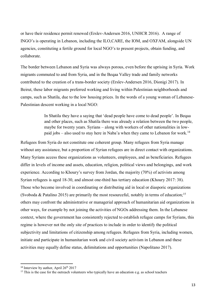or have their residence permit renewed (Erslev-Andersen 2016, UNHCR 2016). A range of INGO's is operating in Lebanon, including the ILO,CARE, the IOM, and OXFAM, alongside UN agencies, constituting a fertile ground for local NGO's to present projects, obtain funding, and collaborate.

The border between Lebanon and Syria was always porous, even before the uprising in Syria. Work migrants commuted to and from Syria, and in the Beqaa Valley trade and family networks contributed to the creation of a trans-border society (Erslev-Andersen 2016, Dionigi 2017). In Beirut, these labor migrants preferred working and living within Palestinian neighborhoods and camps, such as Shatila, due to the low housing prices. In the words of a young woman of Lebanese-Palestinian descent working in a local NGO:

> In Shatila they have a saying that 'dead people have come to dead people'. In Beqaa and other places, such as Shatila there was already a relation between the two people, maybe for twenty years. Syrians – along with workers of other nationalities in lowpaid jobs – also used to stay here in Naba'a when they came to Lebanon for work.<sup>14</sup>

Refugees from Syria do not constitute one coherent group. Many refugees from Syria manage without any assistance, but a proportion of Syrian refugees are in direct contact with organizations. Many Syrians access these organizations as volunteers, employees, and as beneficiaries. Refugees differ in levels of income and assets, education, religion, political views and belongings, and work experience. According to Khoury's survey from Jordan, the majority (70%) of activists among Syrian refugees is aged 18-30, and almost one-third has tertiary education (Khoury 2017: 38). Those who become involved in coordinating or distributing aid in local or diasporic organizations (Svoboda & Patalino 2015) are primarily the most resourceful, notably in terms of education;<sup>15</sup> others may confront the administrative or managerial approach of humanitarian aid organizations in other ways, for example by not joining the activities of NGOs addressing them. In the Lebanese context, where the government has consistently rejected to establish refugee camps for Syrians, this regime is however not the only site of practices to include in order to identify the political subjectivity and limitations of citizenship among refugees. Refugees from Syria, including women, initiate and participate in humanitarian work and civil society activism in Lebanon and these activities may equally define status, delimitations and opportunities (Napolitano 2017).

<sup>&</sup>lt;sup>14</sup> Interview by author, April 26<sup>th</sup> 2017

<sup>&</sup>lt;sup>15</sup> This is the case for the outreach volunteers who typically have an education e.g. as school teachers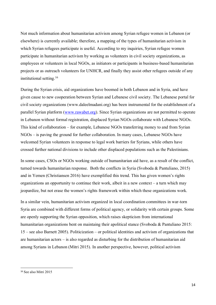Not much information about humanitarian activism among Syrian refugee women in Lebanon (or elsewhere) is currently available; therefore, a mapping of the types of humanitarian activism in which Syrian refugees participate is useful. According to my inquiries, Syrian refugee women participate in humanitarian activism by working as volunteers in civil society organizations, as employees or volunteers in local NGOs, as initiators or participants in business-based humanitarian projects or as outreach volunteers for UNHCR, and finally they assist other refugees outside of any institutional setting.<sup>16</sup>

During the Syrian crisis, aid organizations have boomed in both Lebanon and in Syria, and have given cause to new cooperation between Syrian and Lebanese civil society. The Lebanese portal for civil society organizations (www.daleelmadani.org) has been instrumental for the establishment of a parallel Syrian platform [\(www.rawabet.org\)](http://www.rawabet.org/). Since Syrian organizations are not permitted to operate in Lebanon without formal registration, displaced Syrian NGOs collaborate with Lebanese NGOs. This kind of collaboration – for example, Lebanese NGOs transferring money to and from Syrian NGOs – is paving the ground for further collaboration. In many cases, Lebanese NGOs have welcomed Syrian volunteers in response to legal work barriers for Syrians, while others have crossed further national divisions to include other displaced populations such as the Palestinians.

In some cases, CSOs or NGOs working outside of humanitarian aid have, as a result of the conflict, turned towards humanitarian response. Both the conflicts in Syria (Svoboda & Pantuliano, 2015) and in Yemen (Christiansen 2016) have exemplified this trend. This has given women's rights organizations an opportunity to continue their work, albeit in a new context – a turn which may jeopardize, but not erase the women's rights framework within which these organizations work.

In a similar vein, humanitarian activism organized in local coordination committees in war-torn Syria are combined with different forms of political agency, or solidarity with certain groups. Some are openly supporting the Syrian opposition, which raises skepticism from international humanitarian organizations bent on maintaing their apolitical stance (Svoboda & Pantuliano 2015: 15 – see also Barnett 2005). Politicization – or political identities and activism of organizations that are humanitarian actors – is also regarded as disturbing for the distribution of humanitarian aid among Syrians in Lebanon (Mitri 2015). In another perspective, however, political activism

l

<sup>16</sup> See also Mitri 2015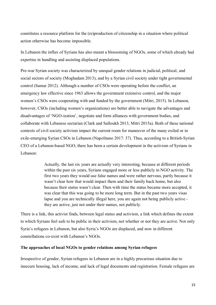constitutes a resource platform for the (re)production of citizenship in a situation where political action otherwise has become impossible.

In Lebanon the influx of Syrians has also meant a blossoming of NGOs, some of which already had expertise in handling and assisting displaced populations.

Pre-war Syrian society was characterized by unequal gender relations in judicial, political, and social sectors of society (Moghadam 2013), and by a Syrian civil society under tight governmental control (Samar 2012). Although a number of CSOs were operating before the conflict, an emergency law effective since 1963 allows the government extensive control, and the major women's CSOs were cooperating with and funded by the government (Mitri, 2015). In Lebanon, however, CSOs (including women's organizations) are better able to navigate the advantages and disadvantages of 'NGO-ization', negotiate and form alliances with government bodies, and collaborate with Lebanese sectarian (Clark and Salloukh 2013, Mitri 2015a). Both of these national contexts of civil society activism impact the current room for maneuver of the many exiled or in exile-emerging Syrian CSOs in Lebanon (Napolitano 2017: 37). Thus, according to a British-Syrian CEO of a Lebanon-based NGO, there has been a certain development in the activism of Syrians in Lebanon:

> Actually, the last six years are actually very interesting, because at different periods within the past six years, Syrians engaged more or less publicly in NGO activity. The first two years they would use false names and were rather nervous, partly because it wasn't clear how that would impact them and their family back home, but also because their status wasn't clear. Then with time the status became more accepted, it was clear that this was going to be more long term. But in the past two years visas lapse and you are technically illegal here, you are again not being publicly active they are active, just not under their names, not publicly.

There is a link, this activist finds, between legal status and activism, a link which defines the extent to which Syrians feel safe to be public in their activism, not whether or not they are active. Not only Syria's refugees in Lebanon, but also Syria's NGOs are displaced, and now in different constellations co-exist with Lebanon's NGOs.

# **The approaches of local NGOs to gender relations among Syrian refugees**

Irrespective of gender, Syrian refugees in Lebanon are in a highly precarious situation due to insecure housing, lack of income, and lack of legal documents and registration. Female refugees are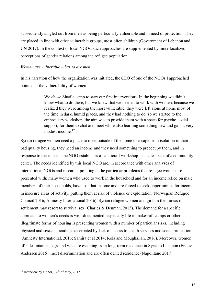subsequently singled out from men as being particularly vulnerable and in need of protection. They are placed in line with other vulnerable groups, most often children (Government of Lebanon and UN 2017). In the context of local NGOs, such approaches are supplemented by more localized perceptions of gender relations among the refugee population.

#### *Women are vulnerable – but so are men*

In his narration of how the organization was initiated, the CEO of one of the NGOs I approached pointed at the vulnerability of women:

> We chose Shatila camp to start our first interventions. In the beginning we didn't know what to do there, but we knew that we needed to work with women, because we realized they were among the most vulnerable, they were left alone at home most of the time in dark, humid places, and they had nothing to do, so we started to the embroidery workshop, the aim was to provide them with a space for psycho-social support, for them to chat and meet while also learning something new and gain a very modest income <sup>17</sup>

Syrian refugee women need a place to meet outside of the home to escape from isolation in their bad quality housing, they need an income and they need something to preoccupy them, and in response to these needs the NGO establishes a handicraft workshop in a safe space of a community center. The needs identified by this local NGO are, in accordance with other analyses of international NGOs and research, pointing at the particular problems that refugee women are presented with; many women who used to work in the household and for an income relied on male members of their households, have lost that income and are forced to seek opportunities for income in insecure areas of activity, putting them at risk of violence or exploitation (Norwegian Refugee Council 2016, Amnesty International 2016). Syrian refugee women and girls in their areas of settlement may resort to survival sex (Charles & Denman, 2013). The demand for a specific approach to women's needs is well-documented; especially life in makeshift camps or other illegitimate forms of housing is presenting women with a number of particular risks, including physical and sexual assaults, exacerbated by lack of access to health services and social protection (Amnesty International, 2016; Samira et al 2014; Rola and Moughalian, 2016). Moreover, women of Palestinian background who are escaping from long-term residence in Syria to Lebanon (Erslev-Andersen 2016), meet discrimination and are often denied residence (Napolitano 2017).

l

<sup>&</sup>lt;sup>17</sup> Interview by author,  $12<sup>th</sup>$  of May, 2017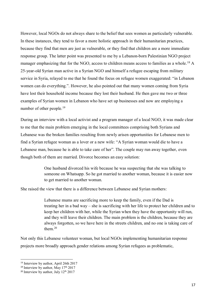However, local NGOs do not always share to the belief that sees women as particularly vulnerable. In these instances, they tend to favor a more holistic approach in their humanitarian practices, because they find that men are just as vulnerable, or they find that children are a more immediate response group. The latter point was presented to me by a Lebanon-born Palestinian NGO project manager emphasizing that for the NGO, access to children means access to families as a whole.<sup>18</sup> A 25-year-old Syrian man active in a Syrian NGO and himself a refugee escaping from military service in Syria, relayed to me that he found the focus on refugee women exaggerated: "in Lebanon women can do everything.". However, he also pointed out that many women coming from Syria have lost their household income because they lost their husband. He then gave me two or three examples of Syrian women in Lebanon who have set up businesses and now are employing a number of other people.<sup>19</sup>

During an interview with a local activist and a program manager of a local NGO, it was made clear to me that the main problem emerging in the local committees comprising both Syrians and Lebanese was the broken families resulting from newly arisen opportunities for Lebanese men to find a Syrian refugee woman as a lover or a new wife: "A Syrian woman would die to have a Lebanese man, because he is able to take care of her". The couple may run away together, even though both of them are married. Divorce becomes an easy solution:

> One husband divorced his wife because he was suspecting that she was talking to someone on Whatsapp. So he got married to another woman, because it is easier now to get married to another woman.

She raised the view that there is a difference between Lebanese and Syrian mothers:

Lebanese mums are sacrificing more to keep the family, even if the Dad is treating her in a bad way – she is sacrificing with her life to protect her children and to keep her children with her, while the Syrian when they have the opportunity will run, and they will leave their children. The main problem is the children, because they are always forgotten, so we have here in the streets children, and no one is taking care of them<sup>20</sup>

Not only this Lebanese volunteer woman, but local NGOs implementing humanitarian response projects more broadly approach gender relations among Syrian refugees as problematic,

<sup>18</sup> Interview by author, April 26th 2017

<sup>&</sup>lt;sup>19</sup> Interview by author, May  $17<sup>th</sup> 2017$ 

<sup>&</sup>lt;sup>20</sup> Interview by author, July  $12<sup>th</sup> 2017$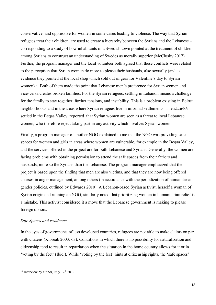conservative, and oppressive for women in some cases leading to violence. The way that Syrian refugees treat their children, are used to create a hierarchy between the Syrians and the Lebanese – corresponding to a study of how inhabitants of a Swedish town pointed at the treatment of children among Syrians to construct an understanding of Swedes as morally superior (McClusky 2017). Further, the program manager and the local volunteer both agreed that these conflicts were related to the perception that Syrian women do more to please their husbands, also sexually (and as evidence they pointed at the local shop which sold out of gear for Valentine's day to Syrian women).<sup>21</sup> Both of them made the point that Lebanese men's preference for Syrian women and vice-versa creates broken families. For the Syrian refugees, settling in Lebanon means a challenge for the family to stay together, further tensions, and instability. This is a problem existing in Beirut neighborhoods and in the areas where Syrian refugees live in informal settlements. The *shawish* settled in the Beqaa Valley, reported that Syrian women are seen as a threat to local Lebanese women, who therefore reject taking part in any activity which involves Syrian women.

Finally, a program manager of another NGO explained to me that the NGO was providing safe spaces for women and girls in areas where women are vulnerable, for example in the Beqaa Valley, and the services offered in the project are for both Lebanese and Syrians. Generally, the women are facing problems with obtaining permission to attend the safe spaces from their fathers and husbands, more so the Syrians than the Lebanese. The program manager emphasized that the project is based upon the finding that men are also victims, and that they are now being offered courses in anger management, among others (in accordance with the periodization of humanitarian gender policies, outlined by Edwards 2010). A Lebanon-based Syrian activist, herself a woman of Syrian origin and running an NGO, similarly noted that prioritizing women in humanitarian relief is a mistake. This activist considered it a move that the Lebanese government is making to please foreign donors.

# *Safe Spaces and residence*

In the eyes of governments of less developed countries, refugees are not able to make claims on par with citizens (Kibreab 2003: 63). Conditions in which there is no possibility for naturalization and citizenship tend to result in repatriation when the situation in the home country allows for it or in 'voting by the feet' (Ibid.). While 'voting by the feet' hints at citizenship rights, the 'safe spaces'

l

<sup>&</sup>lt;sup>21</sup> Interview by author, July  $12<sup>th</sup> 2017$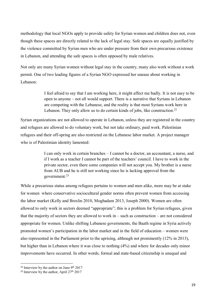methodology that local NGOs apply to provide safety for Syrian women and children does not, even though these spaces are directly related to the lack of legal stay. Safe spaces are equally justified by the violence committed by Syrian men who are under pressure from their own precarious existence in Lebanon, and attending the safe spaces is often opposed by male relatives.

Not only are many Syrian women without legal stay in the country, many also work without a work permit. One of two leading figures of a Syrian NGO expressed her unease about working in Lebanon:

> I feel afraid to say that I am working here, it might affect me badly. It is not easy to be open to anyone – not all would support. There is a narrative that Syrians in Lebanon are competing with the Lebanese, and the reality is that most Syrians work here in Lebanon. They only allow us to do certain kinds of jobs, like construction.<sup>22</sup>

Syrian organizations are not allowed to operate in Lebanon, unless they are registered in the country and refugees are allowed to do voluntary work, but not take ordinary, paid work. Palestinian refugees and their off-spring are also restricted on the Lebanese labor market. A project manager who is of Palestinian identity lamented:

> I can only work in certain branches – I cannot be a doctor, an accountant, a nurse, and if I work as a teacher I cannot be part of the teachers' council. I have to work in the private sector, even there some companies will not accept you. My brother is a nurse from AUB and he is still not working since he is lacking approval from the government.<sup>23</sup>

While a precarious status among refugees pertains to women and men alike, more may be at stake for women where conservative sociocultural gender norms often prevent women from accessing the labor market (Kelly and Breslin 2010, Moghadam 2013, Joseph 2000). Women are often allowed to only work in sectors deemed "appropriate"; this is a problem for Syrian refugees, given that the majority of sectors they are allowed to work in – such as construction – are not considered appropriate for women. Unlike shifting Lebanese governments, the Baath regime in Syria actively promoted women's participation in the labor market and in the field of education – women were also represented in the Parliament prior to the uprising, although not prominently (12% in 2013), but higher than in Lebanon where it was close to nothing (4%) and where for decades only minor improvements have occurred. In other words, formal and state-based citizenship is unequal and

<sup>&</sup>lt;sup>22</sup> Interview by the author on June  $9<sup>th</sup> 2017$ 

<sup>&</sup>lt;sup>23</sup> Interview by the author, April  $27<sup>th</sup> 2017$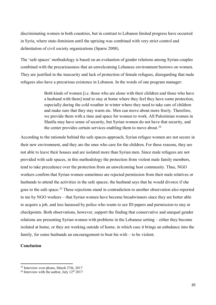discriminating women in both countries, but in contrast to Lebanon limited progress have occurred in Syria, where state-feminism until the uprising was combined with very strict control and delimitation of civil society organizations (Sparre 2008).

The 'safe spaces' methodology is based on an evaluation of gender relations among Syrian couples combined with the precariousness that an unwelcoming Lebanese environment bestows on women. They are justified in the insecurity and lack of protection of female refugees, disregarding that male refugees also have a precarious existence in Lebanon. In the words of one program manager:

> Both kinds of women [i.e. those who are alone with their children and those who have a husband with them] tend to stay at home where they feel they have some protection, especially during the cold weather in winter where they need to take care of children and make sure that they stay warm etc. Men can move about more freely. Therefore, we provide them with a time and space for women to work. All Palestinian women in Shatila may have sense of security, but Syrian women do not have that security, and the center provides certain services enabling them to move about.<sup>24</sup>

According to the rationale behind the safe spaces-approach, Syrian refugee women are not secure in their new environment, and they are the ones who care for the children. For these reasons, they are not able to leave their houses and are isolated more than Syrian men. Since male refugees are not provided with safe spaces, in this methodology the protection from violent male family members, tend to take precedence over the protection from an unwelcoming host community. Thus, NGO workers confirm that Syrian women sometimes are rejected permission from their male relatives or husbands to attend the activities in the safe spaces; the husband says that he would divorce if she goes to the safe space.<sup>25</sup> These rejections stand in contradiction to another observation also reported to me by NGO workers – that Syrian women have become breadwinners since they are better able to acquire a job, and less harassed by police who wants to see ID papers and permission to stay at checkpoints. Both observations, however, support the finding that conservative and unequal gender relations are presenting Syrian women with problems in the Lebanese setting – either they become isolated at home, or they are working outside of home, in which case it brings an unbalance into the family, for some husbands an encouragement to beat his wife – to be violent.

# **Conclusion**

<sup>24</sup> Interview over phone, March 27th, 2017

<sup>&</sup>lt;sup>25</sup> Interview with the author, July  $12<sup>th</sup> 2017$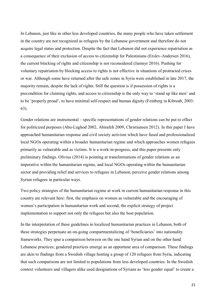In Lebanon, just like in other less developed countries, the many people who have taken settlement in the country are not recognized as refugees by the Lebanese government and therefore do not acquire legal status and protection. Despite the fact that Lebanon did not experience repatriation as a consequence of their exclusion of access to citizenship for Palestinians (Erslev-Andersen 2016), the current blocking of rights and citizenship is not reconsidered (Janmyr 2016). Pushing for voluntary repatriation by blocking access to rights is not effective in situations of protracted crises or war. Although some have returned after the safe zones in Syria were established in late 2017, the majority remain, despite the lack of rights. Still the question is if possession of rights is a precondition for claiming rights, and access to citizenship is the only way to 'stand up like men' and to be 'properly proud', to have minimal self-respect and human dignity (Feinberg in Kibreab, 2003: 63).

Gender relations are instrumental – specific representations of gender relations can be put to effect for politicized purposes (Abu-Lughod 2002, Abirafeh 2009, Christiansen 2012). In this paper I have approached humanitarian response and civil society activism which have fused and professionalized local NGOs operating within a broader humanitarian regime and which approaches women refugees primarily as vulnerable and as victims. It is a work-in-progress, and this paper presents only preliminary findings. Olivius (2014) is pointing at transformations of gender relations as an imperative within the humanitarian regime, and local NGOs operating within the humanitarian sector and providing relief and services to refugees in Lebanon, perceive gender relations among Syrian refugees in particular ways.

Two policy strategies of the humanitarian regime at work in current humanitarian response in this country are relevant here: first, the emphasis on women as vulnerable and the encouraging of women's participation in humanitarian work and second, the explicit strategy of project implementation to support not only the refugees but also the host population.

In the interpretation of these guidelines in localized humanitarian practices in Lebanon, both of these strategies perpetuate an on-going compartmentalizing of 'beneficiaries' into nationality frameworks. They spur a comparison between on the one hand Syrian and on the other hand Lebanese practices; gendered practices emerge as an opportune area of comparison. These findings are akin to findings from a Swedish village hosting a group of 120 refugees from Syria, indicating that such comparisons are not limited to populations from less developed countries. In the Swedish context volunteers and villagers alike used designations of Syrians as 'less gender equal' to create a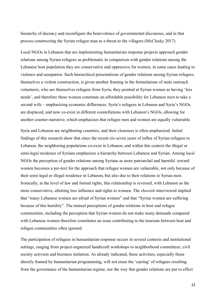hierarchy of decency and reconfigure the benevolence of governmental discourses, and in that process constructing the Syrian refugee man as a threat to the villagers (McClusky 2017).

Local NGOs in Lebanon that are implementing humanitarian response projects approach gender relations among Syrian refugees as problematic in comparison with gender relations among the Lebanese host population they are conservative and oppressive for women, in some cases leading to violence and usurpation. Such hierarchical presentations of gender relations among Syrian refugees, themselves a violent construction, is given another framing in the formulations of male outreach volunteers, who are themselves refugees from Syria; they pointed at Syrian women as having 'less needs', and therefore these women constitute an affordable possibility for Lebanese men to take a second wife – emphasizing economic differences. Syria's refugees in Lebanon and Syria's NGOs are displaced, and now co-exist in different constellations with Lebanon's NGOs, allowing for another counter-narrative, which emphasizes that refugee men and women are equally vulnerable.

Syria and Lebanon are neighboring countries, and their closeness is often emphasized. Initial findings of this research show that since the recent six-seven years of influx of Syrian refugees to Lebanon, the neighboring populations co-exist in Lebanon, and within this context the illegal or semi-legal residence of Syrians emphasizes a hierarchy between Lebanese and Syrian. Among local NGOs the perception of gender relations among Syrians as more patriarchal and harmful toward women becomes a pre-text for the approach that refugee women are vulnerable, not only because of their semi-legal or illegal residence in Lebanon, but also due to their relations to Syrian men. Ironically, at the level of law and formal rights, this relationship is reversed, with Lebanon as the more conservative, allotting less influence and rights to women. The *shawish* interviewed implied that "many Lebanese women are afraid of Syrian women" and that "Syrian women are suffering because of this hostility". The mutual perceptions of gender relations in host and refugee communities, including the perception that Syrian women do not make many demands compared with Lebanese women therefore constitutes an issue contributing to the tensions between host and refugee communities often ignored.

The participation of refugees in humanitarian response occurs in several contexts and institutional settings, ranging from project-organized handicraft workshops to neighborhood committees, civil society activism and business initiation. As already indicated, these activities, especially those directly framed by humanitarian programming, will not erase the 'casting' of refugees resulting from the governance of the humanitarian regime, nor the way that gender relations are put to effect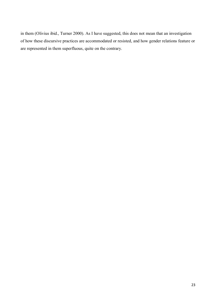in them (Olivius ibid., Turner 2000). As I have suggested, this does not mean that an investigation of how these discursive practices are accommodated or resisted, and how gender relations feature or are represented in them superfluous, quite on the contrary.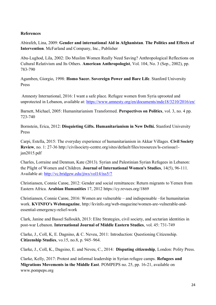# **References**

Abirafeh, Lina, 2009: **Gender and international Aid in Afghanistan**. **The Politics and Effects of Intervention**. McFarland and Company, Inc., Publisher

Abu-Lughod, Lila, 2002: Do Muslim Women Really Need Saving? Anthropological Reflections on Cultural Relativism and Its Others. **American Anthropologist**, Vol. 104, No. 3 (Sep., 2002), pp. 783-790

Agamben, Giorgio, 1998: **Homo Sacer. Sovereign Power and Bare Life**. Stanford University Press

Amnesty International, 2016: I want a safe place. Refugee women from Syria uprooted and unprotected in Lebanon, available at:<https://www.amnesty.org/en/documents/mde18/3210/2016/en/>

Barnett, Michael, 2005: Humanitarianism Transformed. **Perspectives on Politics**, vol. 3, no. 4 pp. 723-740

Bornstein, Erica, 2012: **Disquieting Gifts. Humanitarianism in New Delhi.** Stanford University Press

Carpi, Estella, 2015: The everyday experience of humanitarianism in Akkar Villages. **Civil Society Review**, no. 1: 27-36 http://civilsociety-centre.org/sites/default/files/resources/ls-csrissue1 jan2015.pdf

Charles, Lorraine and Denman, Kate (2013). Syrian and Palestinian Syrian Refugees in Lebanon: the Plight of Women and Children. **Journal of International Women's Studies**, 14(5), 96-111. Available at:<http://vc.bridgew.edu/jiws/vol14/iss5/7>

Christiansen, Connie Carøe, 2012: Gender and social remittances: Return migrants to Yemen from Eastern Africa. **Arabian Humanities** 17, 2012 https://cy.revues.org/1869

Christiansen, Connie Carøe, 2016: Women are vulnerable – and indispensable –for humanitarian work. **KVINFO's Webmagazine**, http://kvinfo.org/web-magazine/women-are-vulnerable-andessential-emergency-relief-work

Clark, Janine and Bassel Salloukh, 2013: Elite Strategies, civil society, and sectarian identities in post-war Lebanon. **International Journal of Middle Eastern Studies**, vol. 45: 731-749

Clarke, J., Coll, K, E. Dagnino, & C. Neveu, 2011: Introduction: Questioning Citizenship. **Citizenship Studies**, vo.15, no.8, p. 945–964.

Clarke, J., Coll, K., Dagsino, E. and Neveu, C., 2014: **Disputing citizenship**, London: Polity Press.

Clarke, Kelly, 2017: Protest and informal leadership in Syrian refugee camps. **Refugees and Migrations Movements in the Middle East**. POMPEPS no. 25, pp. 16-21, available on www.pompeps.org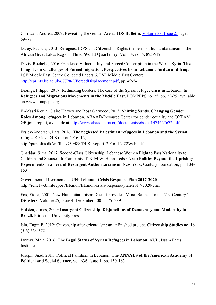Cornwall, Andrea, 2007: Revisiting the Gender Arena. **IDS Bulletin**, [Volume 38,](http://onlinelibrary.wiley.com/doi/10.1111/idsb.2007.38.issue-2/issuetoc) Issue 2, pages 69–78

Daley, Patricia, 2013: Refugees, IDPS and Citizenship Rights the perils of humanitarianism in the African Great Lakes Region. **Third World Quarterley**, Vol. 34, no. 5: 893-912

Davis, Rochelle, 2016: Gendered Vulnerability and Forced Conscription in the War in Syria. **The Long-Term Challenges of Forced migration. Perspectives from Lebanon, Jordan and Iraq.** LSE Middle East Centre Collected Papers 6, LSE Middle East Center: [http://eprints.lse.ac.uk/67728/2/ForcedDisplacement.pdf,](http://eprints.lse.ac.uk/67728/2/ForcedDisplacement.pdf) pp. 49-54

Dionigi, Filippo, 2017: Rethinking borders. The case of the Syrian refugee crisis in Lebanon. In **Refugees and Migrations Movements in the Middle East**. POMPEPS no. 25, pp. 22-29, available on www.pompeps.org

El-Masri Roula, Claire Harvey and Rosa Garwood, 2013: **Shifting Sands. Changing Gender Roles Among refugees in Lebanon.** ABAAD-Resource Center for gender equality and OXFAM GB joint report, available at<http://www.abaadmena.org/documents/ebook.1474622672.pdf>

Erslev-Andersen, Lars, 2016: **The neglected Palestinian refugees in Lebanon and the Syrian refugee Crisis**. DIIS report 2016: 12, http://pure.diis.dk/ws/files/739488/DIIS\_Report\_2016\_12\_22Web.pdf

Ghaddar, Sima, 2017: Second-Class Citizenship. Lebanese Women Fight to Pass Nationality to Children and Spouses. In Cambanis, T. & M.W. Hanna, eds.: **Arab Politics Beyond the Uprisings. Experiments in an era of Resurgent Authoritarianism.** New York: Century Foundation, pp. 134- 153

Government of Lebanon and UN: **Lebanon Crisis Response Plan 2017-2020** http://reliefweb.int/report/lebanon/lebanon-crisis-response-plan-2017-2020-enar

Fox, Fiona, 2001: New Humanitarianism: Does It Provide a Moral Banner for the 21st Century? **Disasters**, Volume 25, Issue 4, December 2001: 275–289

Holsten, James, 2009: **Insurgent Citizenship**. **Disjunctions of Democracy and Modernity in Brazil.** Princeton University Press

Isin, Engin F. 2012: Citizenship after orientalism: an unfinished project. **Citizenship Studies** no. 16 (5-6):563-572

Janmyr, Maja, 2016: **The Legal Status of Syrian Refugees in Lebanon**. AUB, Issam Fares Institute

Joseph, Suad, 2011: Political Familism in Lebanon. **The ANNALS of the American Academy of Political and Social Science**, vol. 636, issue 1, pp. 150-163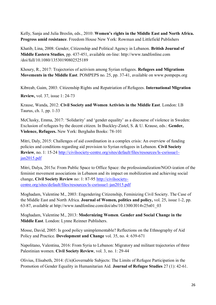Kelly, Sanja and Julia Breslin, eds., 2010: **Women's rights in the Middle East and North Africa. Progress amid resistance**. Freedom House New York: Rowman and Littlefield Publishers

Khatib, Lina, 2008: Gender, Citizenship and Political Agency in Lebanon. **British Journal of Middle Eastern Studies**, pp. 437-451, available on-line: http://www.tandfonline.com /doi/full/10.1080/13530190802525189

Khoury, R., 2017: Trajectories of activism among Syrian refugees. **Refugees and Migrations Movements in the Middle East**. POMPEPS no. 25, pp. 37-41, available on www.pompeps.org

Kibreab, Gaim, 2003: Citizenship Rights and Repatriation of Refugees. **International Migration** 

**Review,** vol. 37, issue 1: 24-73

Krause, Wanda, 2012: **Civil Society and Women Activists in the Middle East**. London: I.B Taurus, ch. 1, pp. 1-33

McClusky, Emma, 2017: 'Solidarity' and 'gender equality' as a discourse of violence in Sweden: Exclusion of refugees by the decent citizen. In Buckley-Zistel, S. & U. Krause, eds.: **Gender, Violence, Refugees.** New York: Berghahn Books: 78-101

Mitri, Daly, 2015: Challenges of aid coordination in a complex crisis: An overview of funding policies and conditions regarding aid provision to Syrian refugees in Lebanon. **Civil Society Review**, no. 1: 15-24 [http://civilsociety-centre.org/sites/default/files/resources/ls-csrissue1](http://civilsociety-centre.org/sites/default/files/resources/ls-csrissue1-jan2015.pdf) [jan2015.pdf](http://civilsociety-centre.org/sites/default/files/resources/ls-csrissue1-jan2015.pdf)

Mitri, Dalya, 2015a: From Public Space to Office Space: the professionalization/NGO-ization of the feminist movement associations in Lebanon and its impact on mobilization and achieving social change, **Civil Society Review** no: 1: 87-95 [http://civilsociety](http://civilsociety-centre.org/sites/default/files/resources/ls-csrissue1-jan2015.pdf)[centre.org/sites/default/files/resources/ls-csrissue1-jan2015.pdf](http://civilsociety-centre.org/sites/default/files/resources/ls-csrissue1-jan2015.pdf)

Moghadam, Valentine M., 2003: Engendering Citizenship, Feminizing Civil Society. The Case of the Middle East and North Africa*.* **Journal of Women, politics and policy,** vol. 25, issue 1-2, pp. 63-87, available at http://www.tandfonline.com/doi/abs/10.1300/J014v25n01\_03

Moghadam, Valentine M., 2013: **Modernizing Women**. **Gender and Social Change in the Middle East**. London: Lynne Reinner Publishers.

Mosse, David, 2005: Is good policy unimplementable? Reflections on the Ethnography of Aid Policy and Practice. **Development and Change** vol. 35, no. 4: 639-671

Napolitano, Valentina, 2016: From Syria to Lebanon: Migratory and militant trajectories of three Palestinian women. **Civil Society Review**, vol. 3, no. 1: 29-44

Olivius, Elisabeth, 2014: (Un)Governable Subjects: The Limits of Refugee Participation in the Promotion of Gender Equality in Humanitarian Aid. **Journal of Refugee Studies** 27 (1): 42-61.